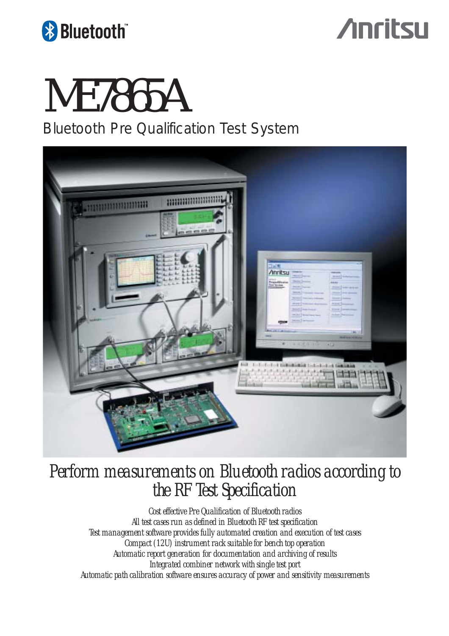

## **Anritsu**

# ME7865A

*Bluetooth* Pre Qualification Test System



*Perform measurements on Bluetooth radios according to the RF Test Specification*

*Cost effective Pre Qualification of Bluetooth radios All test cases run as defined in Bluetooth RF test specification Test management software provides fully automated creation and execution of test cases Compact (12U) instrument rack suitable for bench top operation Automatic report generation for documentation and archiving of results Integrated combiner network with single test port Automatic path calibration software ensures accuracy of power and sensitivity measurements*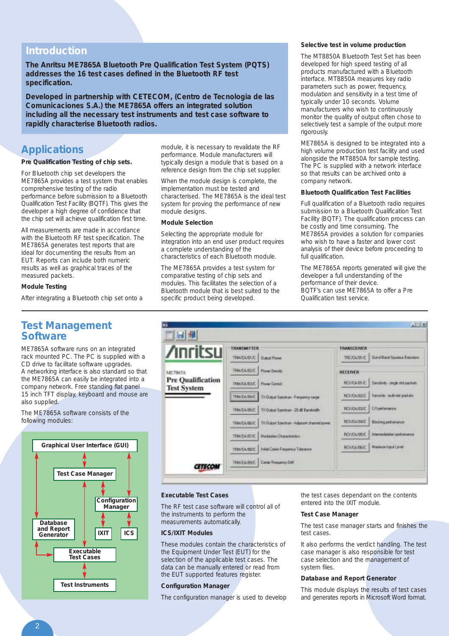#### **Introduction**

**The Anritsu ME7865A Bluetooth Pre Qualification Test System (PQTS) addresses the 16 test cases defined in the Bluetooth RF test specification.** 

**Developed in partnership with CETECOM, (Centro de Tecnologia de las Comunicaciones S.A.) the ME7865A offers an integrated solution including all the necessary test instruments and test case software to rapidly characterise Bluetooth radios.**

#### **Applications**

#### **Pre Qualification Testing of chip sets.**

For Bluetooth chip set developers the ME7865A provides a test system that enables comprehensive testing of the radio performance before submission to a Bluetooth Qualification Test Facility (BQTF). This gives the developer a high degree of confidence that the chip set will achieve qualification first time.

All measurements are made in accordance with the Bluetooth RF test specification. The ME7865A generates test reports that are ideal for documenting the results from an EUT. Reports can include both numeric results as well as graphical traces of the measured packets.

#### **Module Testing**

After integrating a Bluetooth chip set onto a

#### **Test Management Software**

ME7865A software runs on an integrated rack mounted PC. The PC is supplied with a CD drive to facilitate software upgrades. A networking interface is also standard so that the ME7865A can easily be integrated into a company network. Free standing flat panel 15 inch TFT display, keyboard and mouse are also supplied.

The ME7865A software consists of the following modules:



module, it is necessary to revalidate the RF performance. Module manufacturers will typically design a module that is based on a reference design from the chip set supplier.

When the module design is complete, the implementation must be tested and characterised. The ME7865A is the ideal test system for proving the performance of new module designs.

#### **Module Selection**

Selecting the appropriate module for integration into an end user product requires a complete understanding of the characteristics of each Bluetooth module.

The ME7865A provides a test system for comparative testing of chip sets and modules. This facilitates the selection of a Bluetooth module that is best suited to the specific product being developed.

#### **Selective test in volume production**

The MT8850A Bluetooth Test Set has been developed for high speed testing of all products manufactured with a Bluetooth interface. MT8850A measures key radio parameters such as power, frequency, modulation and sensitivity in a test time of typically under 10 seconds. Volume manufacturers who wish to continuously monitor the quality of output often chose to selectively test a sample of the output more rigorously.

ME7865A is designed to be integrated into a high volume production test facility and used alongside the MT8850A for sample testing. The PC is supplied with a network interface so that results can be archived onto a company network.

#### **Bluetooth Qualification Test Facilities**

Full qualification of a Bluetooth radio requires submission to a Bluetooth Qualification Test Facility (BQTF). The qualification process can be costly and time consuming. The ME7865A provides a solution for companies who wish to have a faster and lower cost analysis of their device before proceeding to full qualification.

The ME7865A reports generated will give the developer a full understanding of the performance of their device. BQTF's can use ME7865A to offer a Pre Qualification test service.



#### **Executable Test Cases**

The RF test case software will control all of the instruments to perform the measurements automatically.

#### **ICS/IXIT Modules**

These modules contain the characteristics of the Equipment Under Test (EUT) for the selection of the applicable test cases. The data can be manually entered or read from the EUT supported features register.

#### **Configuration Manager**

The configuration manager is used to develop

the test cases dependant on the contents entered into the IXIT module.

#### **Test Case Manager**

The test case manager starts and finishes the test cases.

It also performs the verdict handling. The test case manager is also responsible for test case selection and the management of system files.

#### **Database and Report Generator**

This module displays the results of test cases and generates reports in Microsoft Word format.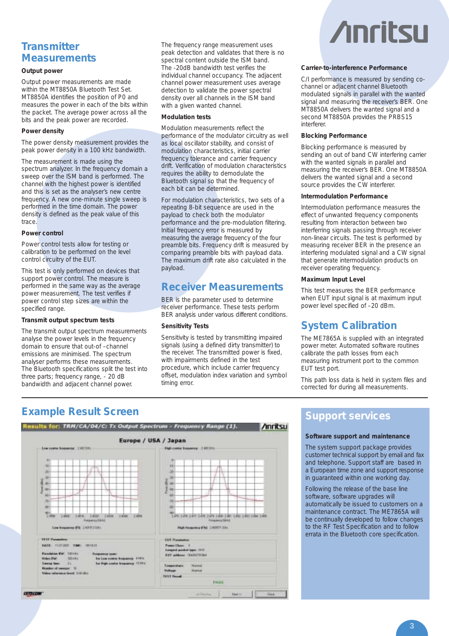### **Transmitter Measurements**

#### **Output power**

Output power measurements are made within the MT8850A Bluetooth Test Set. MT8850A identifies the position of P0 and measures the power in each of the bits within the packet. The average power across all the bits and the peak power are recorded.

#### **Power density**

The power density measurement provides the peak power density in a 100 kHz bandwidth.

The measurement is made using the spectrum analyzer. In the frequency domain a sweep over the ISM band is performed. The channel with the highest power is identified and this is set as the analyser's new centre frequency. A new one-minute single sweep is performed in the time domain. The power density is defined as the peak value of this trace.

#### **Power control**

Power control tests allow for testing or calibration to be performed on the level control circuitry of the EUT.

This test is only performed on devices that support power control. The measure is performed in the same way as the average power measurement. The test verifies if power control step sizes are within the specified range.

#### **Transmit output spectrum tests**

The transmit output spectrum measurements analyse the power levels in the frequency domain to ensure that out-of –channel emissions are minimised. The spectrum analyser performs these measurements. The Bluetooth specifications split the test into three parts; frequency range, - 20 dB bandwidth and adjacent channel power.

The frequency range measurement uses peak detection and validates that there is no spectral content outside the ISM band. The -20dB bandwidth test verifies the individual channel occupancy. The adjacent channel power measurement uses average detection to validate the power spectral density over all channels in the ISM band with a given wanted channel.

#### **Modulation tests**

Modulation measurements reflect the performance of the modulator circuitry as well as local oscillator stability, and consist of modulation characteristics, initial carrier frequency tolerance and carrier frequency drift. Verification of modulation characteristics requires the ability to demodulate the Bluetooth signal so that the frequency of each bit can be determined.

For modulation characteristics, two sets of a repeating 8-bit sequence are used in the payload to check both the modulator performance and the pre-modulation filtering. Initial frequency error is measured by measuring the average frequency of the four preamble bits. Frequency drift is measured by comparing preamble bits with payload data. The maximum drift rate also calculated in the payload.

#### **Receiver Measurements**

BER is the parameter used to determine receiver performance. These tests perform BER analysis under various different conditions.

#### **Sensitivity Tests**

Sensitivity is tested by transmitting impaired signals (using a defined dirty transmitter) to the receiver. The transmitted power is fixed, with impairments defined in the test procedure, which include carrier frequency offset, modulation index variation and symbol timing error.

# **Anritsu**

#### **Carrier-to-interference Performance**

C/I performance is measured by sending cochannel or adjacent channel Bluetooth modulated signals in parallel with the wanted signal and measuring the receiver's BER. One MT8850A delivers the wanted signal and a second MT8850A provides the PRBS15 interferer.

#### **Blocking Performance**

Blocking performance is measured by sending an out of band CW interfering carrier with the wanted signals in parallel and measuring the receiver's BER. One MT8850A delivers the wanted signal and a second source provides the CW interferer.

#### **Intermodulation Performance**

Intermodulation performance measures the effect of unwanted frequency components resulting from interaction between two interferring signals passing through receiver non-linear circuits. The test is performed by measuring receiver BER in the presence an interfering modulated signal and a CW signal that generate intermodulation products on receiver operating frequency.

#### **Maximum Input Level**

This test measures the BER performance when EUT input signal is at maximum input power level specified of –20 dBm.

#### **System Calibration**

The ME7865A is supplied with an integrated power meter. Automated software routines calibrate the path losses from each measuring instrument port to the common EUT test port.

This path loss data is held in system files and corrected for during all measurements.

## **Example Result Screen Support services Support services**



#### **Software support and maintenance**

The system support package provides customer technical support by email and fax and telephone. Support staff are based in a European time zone and support response in guaranteed within one working day.

Following the release of the base line software, software upgrades will automatically be issued to customers on a maintenance contract. The ME7865A will be continually developed to follow changes to the RF Test Specification and to follow errata in the Bluetooth core specification.